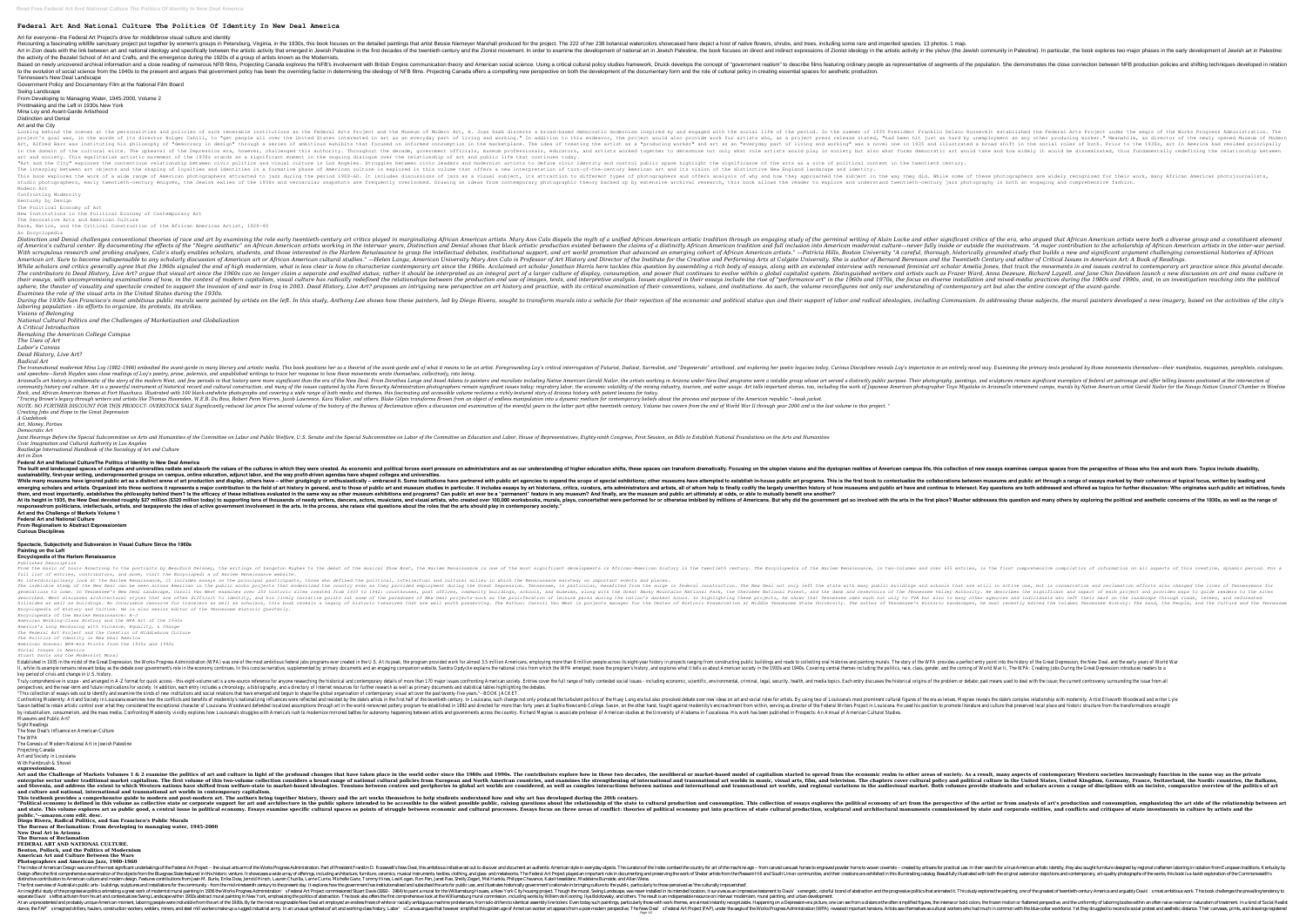# **Federal Art And National Culture The Politics Of Identity In New Deal America**

### Art for everyone--the Federal Art Project's drive for middlebrow visual culture and identity

Recounting a fascinating wildlife sanctuary project put together by women's groups in Petersburg, Virginia, in the 1930s, this book focuses on the detailed paintings that artist Bessie Niemeyer Marshall produced for the pr Art in Zion deals with the link between art and national ideology and specifically between the artistic activity between the artistic activity that emerged in Jewish Palestine). In particular, the book explores two major p the activity of the Bezalel School of Art and Crafts, and the emergence during the 1920s of a group of artists known as the Modernists. Based on newly uncovered archival information and a close reading of numerous NFB films, Projecting Canada explores the NFB's involvement with British Empire communication theory and American social science. Using a critic to the evolution of social science from the 1940s to the present and argues that government policy has been the overriding factor in determining the ideology of NFB films. Projecting Canada offers a compelling new perspect Tennessee's New Deal Landscape

Government Policy and Documentary Film at the National Film Board

## Swing Landscape

From Developing to Managing Water, 1945-2000, Volume 2

Printmaking and the Left in 1930s New York

Mina Loy and Avant-Garde Artisthood Distinction and Denial

Art and the City instructions as the personalities and policies of such venerable institutions as the Federal Arts Project and the Federal Arts Project and the Museum of Modern Art, A. Joan Saab discerns a broad–based democratic modernism The united States in the words of its director Holger Cahill, to "get people all over the United States interested in art as any other producing worker." Meanwhile, as director of the newly opened Museum of Modern project are was instituting his philosophy of "democracy in design" through a series of ambitious exhibits that focused on informed shift in the social roles of both. Prior to the 1930s, art in America had resided principally in the domain of the cultural elite. The upheaval of the Depression era, however, however, challenged this authority. Throughout the decade, government officials, museum professionals, educators, and artists would be disse art and society. This egalitarian artistic movement of the 1930s stands as a significant moment in the ongoing dialogue over the relationship of art and public life that continues today. "Art and the City" explores the contentious relationship between civic politics and visual culture in Los Angeles. Struggles between civic leaders and modernist artists to define civic leaders and modernist artists to defi The interplay between art objects and the shaping of loyalties and identities in a formative phase of American culture is explored in this volume that offers a new interpretation of turn-of-the-century American art and its This book explores the work of a wide range of American photographers attracted to jazz during the way they did. While some of these photographers are widely recognized for their work, many African American photojournalist igres, early twentieth-century émigrés, the Jewish exiles of the 1930s and vernacular snapshots are frequently overlooked. Drawing on ideas from contemporary photographic theory backed up by extensive archival research, th Modern Art

During the 1930s San Francisco's most ambitious public murals were painted by artists on the left. In this study, Anthony Lee shows how these painters developed a new imagery, based on the activities of the city's During t *laboring population - its efforts to organize, its protests, its strikes.*

Confronting Modernity

Kentucky by Design The Political Economy of Art

New Institutions in the Political Economy of Contemporary Art

The Decorative Arts and American Culture Race, Nation, and the Critical Construction of the African American Artist, 1920-40

The transnational modernist Mina Lov (1882–1966) embodied the avant-garde in many literary and entirely movel way. Examining the primary texts produced by those movements themselves—their manifestos, magazines, pamphlets, *and speeches—Sarah Hayden uses close readings of Loy's poetry, prose, polemics, and unpublished writings to trace her response to how these movements wrote themselves, collectively, into being.* ArizonaÕs art history is emblematic of the story of the modern West, and few periods in that history were more significant than the era of the New Deal programs were a notable group whose art served a distinctly public pur none onlargive and culture. Art is a powerful instrument of historical record and cultural record and cultural construction, and many of the issues captured by the Farm Security Administration photographers remain signific Rock, and African American themes at Fort Huachuca. Illustrated with 100 black-andwhite photographs and covering a wide range of both media and themes, this fascinating and accessible volume reclaims a richly textured stor "Tracing Brown's legacy through writers and artists like Thomas Hovenden, W.E.B. Du Bois, Robert Penn Warren, Jacob Lawrence, Kara Walker, and others, Blake Gilpin transforms Brown from an object of endless manipulation in NOTE: NO FURTHER DISCOUNT FOR THIS PRODUCT- OVERSTOCK SALE Significantly reduced list price The second volume of the history of the bureau of Reclamation of the eventful years in the latter part of the history of the burea *Creating Jobs and Hope in the Great Depression*

Ioint Hearings Before the Special Subcommittee on Arts and Humanities of the Committee on Labor and Public Welfare, U.S. Senate and the Special Subcommittee on Labor, House of Representatives, Eighty-ninth Congress, First *Civic Imagination and Cultural Authority in Los Angeles Routledge International Handbook of the Sociology of Art and Culture*

An Encyclopedia Distinction and Denial challenges conventional theories of race and art by examining the role valuming the role early twentieth-century art critics played in marginalizing African American artists. Mary Ann Calo dispels th of America's cultural center. By documenting the effects of the "Negro aesthetic" on African American American american artists working in the interwar years, Distinction and full inclusion into American modernist culture— With scrupulous research and probing analyses, Calo's study enables scholars, students, students, and those interested in the Harlem Renaissance to grasp the intellectual debates, institutional support, and art world promo American art. Sure to become indispensable to any scholarly discussion of American art or African art or African American Cultural studies." —Helen Langa, American University Mary Ann Calo is Professor of Art History and D While scholars and critics generally agree that the 1960s signaled the end of high modernism, what is less clear is how to characterize contemporary art since the 1960s. Acclaimed art scholar Jonathan Harris here tackles t The contributors to Dead History, Live Art? argue that visual art since the 1960s can no longer claim a separate and or a separate and exalted status; rather it should be interpreted as an integral part of a larger culture in the ressays, with uncompromising examinations of how, in the context of modern capitalism, visual culture has radically redefined the relationships between the production and use of images, texts, and interpretive analy sphere, the theater of visuality and spectacle created to support the invasion of and war in Iraq in 2003. Dead History, Live Art? proposes an intriquing of contemporary art but also the entire concept of the avant-garde. *Examines the role of the visual arts in the United States during the 1930s.*

The built and landscaped spaces of colleges and universities radiate and absorb the values of he values of the cultures in which they were created. As economic and political forces exert pressure on administrators and as o **sustainability, first-year writing, underrepresented groups on campus, online education, adjunct labor, and the way profit-driven agendas have shaped colleges and universities.** While many museums have ignored public art as a distinct arena of art production and display, others have – either grudgingly or enthusiastically – embraced it. Some institutions have partnered with public art through a ra emerging scholars and artists. Organized into three sections it represents a major contribution to the field of art history in general, and to those of public art have and offered as topics for further discussion: Who orig them, and most importantly, establishes the philosophy behind them? Is the efficacy of these initiatives evaluated in the same way as other museum exhibitions and programs? Can public art ever be a "permanent" feature in a At its height in 1935, the New Deal devoted roughly \$27 million (\$320 million today) to supporting tens of thousands of needy writers, dancers, actors, musicians, and many others by exploring the political and asthetic con responsesfrom politicians, intellectuals, artists, and taxpayersto the idea of active government involvement in the arts. In the process, she raises vital questions about the roles that the arts should play in contemporary **Art and the Challenge of Markets Volume 1 Federal Art and National Culture**

An interdisciplinary look at the Harlem Renaissance, it includes essays on the principal participants, those who defined the political, intellectual and cultural milieu in which the Renaissance existed; on important events the indelible stamp of the New Deal can be seen across American in the public works projects that works projects that modernized the to state with many public buildings and schools that are still in active use, but is cons raturn Mest examines over 250 historic sites created from 1933 to 1942: courthouses, post offices, and museums, along with the Great Smoky Mountains National Forest, and museums, along with the Great Smoky Mountains and re the natively narratively, and his lively narrative points out also to many other agencies and individuals and individuals who left their mark on the landscape through roads, levees, and reforested described. West discusses hillsides as well as buildings. An invaluable resource for travelers as well as scholars, this book reveals a legacy of historic treasures that are well worth preserving. The Author: Carroll Van West is projects manager fo *Encyclopedia of History and Culture. He is also senior editor of the Tennessee Historic Quarterly.*

*Visions of Belonging*

*National Cultural Politics and the Challenges of Marketization and Globalization*

*A Critical Introduction*

*Remaking the American College Campus*

*The Uses of Art*

*Labor's Canvas Dead History, Live Art?*

*Radical Art*

nerveron provided work for ambitious federal indigity of the Great Depression, the Works Progress Administration (WPA) was one of the most ambitious federal jobs programs ever created in the U.S. At its peak, the program p Il, while its example remains relevant today as the debate over government's role in the economy continues. In this concise narrative, supplemented by primary documents and an engaging companion website, Sandra Opdycke exp key period of crisis and change in U.S. history.

In Truly comprehensive in scope - and arranged in A-Z format for quick access - this eight-volume set is a one-source reference for anyone researching the historical and contemporary details of more than 170 major issues perspectives; and the near-term and future implications for society. In addition, each entry includes a chronology, a bibliography, and a directory of Internet resources for further research as well as primary documents an "This collection of essays sets out to identify and examine the kinds of new institutions and social relations that have emerged and begun to shape the global organisation of contemporary visual art over the past twenty-fi noneeranty: Art and Society in Louisiana examines how the conflicts and benefits of modernity's nationalizimg influences were reflected and resisted by the state's artists. By using two of Louisiana, such change not only p noned part in the world-remowned postlered the world-remowned defended localized assumptions through art in the world-renowned pottery program he established in 1892 and directed for more than forty years at Sophie Newcomb by industrialism, consumerism, and the mass media. Confronting Modernity vividly explores how Louisiana's struggles with America's rush to modernize mirrored battles for autonomy happening between artists and governments a Museums and Public Art?

Art and the Challenge of Markets Volumes 1 & 2 examine the politics of art and culture in light of the profound changes that have taken place in the world order since the 1980s and 1990s. The contributors explore how in th enterprise sector under traditional market capitalism. The first volume of this two-volume of this two-volume collection considers a broad range of national and transnational and transnational and transnational and transna and slovenia, and address the extent to which Western nations have shifted from welfare-state to market-based ideologies. Tensions in the audiovisual market. Both volumes provide students and scholars across a range of dis **and culture and national, international and transnational art worlds in contemporary capitalism.**

*A Guidebook*

*Art, Money, Parties*

*Democratic Art*

This textbook provides a comprehensive guide to modern and post-modern art. The authors bring together history, theory and the art works themselves to help students understand how and why art has developed during the 20th "Political economy is defined in this volume as collective state or corporate support for art and architecture in the public sphere intended to be accessible to from analysis of art's production and consumption. This colle and state. This volume explores art as public good, a central issue in political economy. Essays examine specific cultural production, sculptural and architectural monuments commissioned by state and corporate entities, an **public."--amazon.com edit. desc.**

*Art in Zion*

**Federal Art and National CultureThe Politics of Identity in New Deal America**

The Index of American Design was one of the most significant undertakings of the Federal Art Project -- the visual arts arm of the Works Progress Administration. Part of President Franklin D. Roosevelt's New Deal, this amb Design offers the first comprehensive examination of the objects from the Bluegrass State featured in this historic venture. It showcases a wide array of offerings, including and watercolor depictions and contemporary, art distinctive contribution to American culture and modern design. Features contributions from Jean M. Burks, Erika Doss, Jerrold Hirsch, Lauren Churilla, Larrie Currie, Michelle Ganz, Tommy Hines, Lee Kogan, Ron Pen, Janet R The first overview of Australia's public arts - buildings, sculptures and installations for the community - from the mid-nineteenth century to the present day. It explores how the government has institutionalised and subsi : Federal Art Project commissioned Stuart Davis' senegetic, colorful brand of abstraction and the progress Administration' are of the greatest of twentieth-century America and arguably Davis' senegetic, was new York City h separate Davis' sleftist activism from his art and contextualizes Swing Landscape within 1990s abstract mural painting in New York, emphasizing the politics of abstraction. The book also offers the first comprehensive look At an unprecedented and probably unique American moment, laboring people were indivisible from the art of the 1990s. By far the most recognizable New Deal art employed an endless frieze of white or racially ambiguous machi ance, the FAP imagined drillers, haulers construction workers welders, miners, and steel mill workers make up a rugged industrial arm, In an unusual synthesis of art and working class history, Labor's Canvas argues that ho Page 1/2

in the the muslic of Louis Armstrong to the portraits by Beauford Delaney, the writings of Langston Hughes to the first comprehensive comprehensive compilation of information on all aspects of this creative, dynamic period

**From Regionalism to Abstract Expressionism**

**Curious Disciplines**

**Spectacle, Subjectivity and Subversion in Visual Culture Since the 1960s**

#### **Painting on the Left Encyclopedia of the Harlem Renaissance**

*Publisher Description*

*full list of entries, contributors, and more, visit the Encyclopedi a of Harlem Renaissance website.*

*Encyclopedia of the Harlem Renaissance: A-J*

*American Working-Class History and the WPA Art of the 1930s America's Long Reckoning with Violence, Equality, & Change*

*The Federal Art Project and the Creation of Middlebrow Culture*

*The Politics of Identity in New Deal America*

*American Scenes: WPA-Era Prints from the 1930s and 1940s Social Issues in America*

*Stuart Davis and the Modernist Mural*

Sight Readings

The New Deal's Influence on American Culture

The WPA

The Genesis of Modern National Art in Jewish Palestine Projecting Canada

Art and Society in Louisiana

With Paintbrush & Shovel

**expressionism.**

**Diego Rivera, Radical Politics, and San Francisco's Public Murals The Bureau of Reclamation: From developing to managing water, 1945-2000**

**New Deal Art in Arizona**

**The Bureau of Reclamation**

**FEDERAL ART AND NATIONAL CULTURE. Benton, Pollock, and the Politics of Modernism**

**American Art and Culture Between the Wars**

**Photographers and American Jazz, 1900-1960**